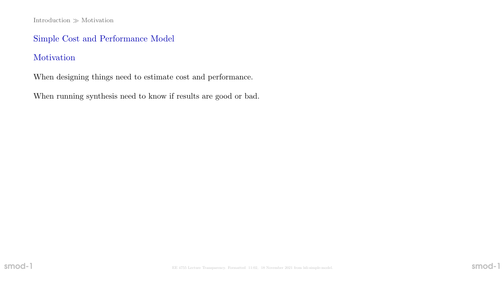Introduction  $\gg$  Motivation

## Simple Cost and Performance Model

# Motivation

When designing things need to estimate cost and performance.

When running synthesis need to know if results are good or bad.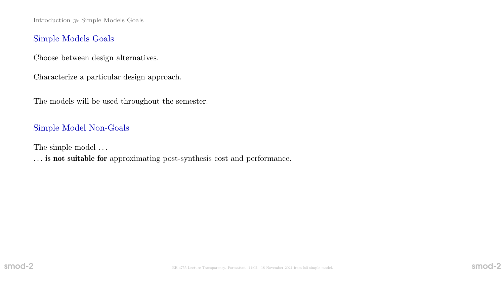$Introduction \gg Simple Models$  Goals

#### Simple Models Goals

Choose between design alternatives.

Characterize a particular design approach.

The models will be used throughout the semester.

#### Simple Model Non-Goals

The simple model  $\ldots$ 

. . . is not suitable for approximating post-synthesis cost and performance.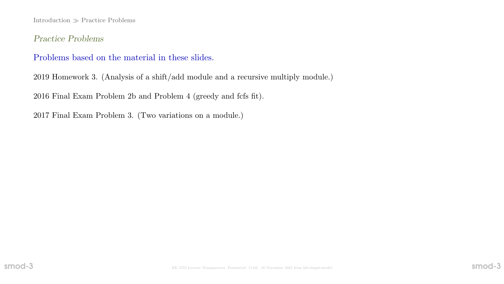$Introduction \gg Practice$  Problems

Practice Problems

### Problems based on the material in these slides.

2019 Homework 3. (Analysis of a shift/add module and a recursive multiply module.)

2016 Final Exam Problem 2b and Problem 4 (greedy and fcfs fit).

2017 Final Exam Problem 3. (Two variations on a module.)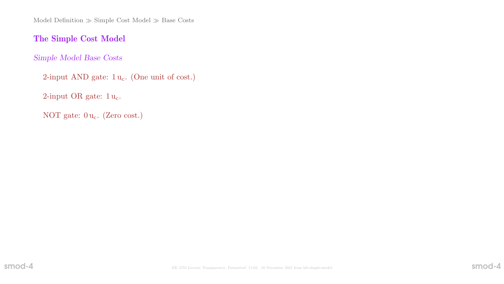Model Definition  $\gg$  Simple Cost Model  $\gg$  Base Costs

# The Simple Cost Model

Simple Model Base Costs

2-input AND gate:  $1 u_c$ . (One unit of cost.)

2-input OR gate:  $1 u_c$ .

NOT gate:  $0 u_c$ . (Zero cost.)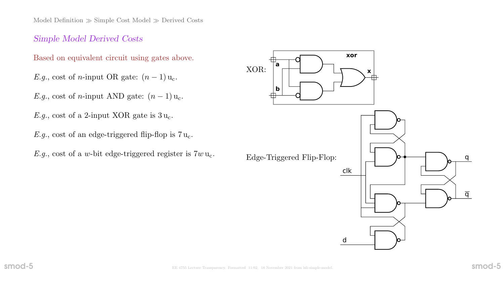Model Definition  $\gg$  Simple Cost Model  $\gg$  Derived Costs

#### Simple Model Derived Costs

Based on equivalent circuit using gates above.

E.g., cost of n-input OR gate:  $(n-1)u_c$ .

E.g., cost of n-input AND gate:  $(n-1)u_c$ .

E.g., cost of a 2-input XOR gate is  $3u_c$ .

E.g., cost of an edge-triggered flip-flop is  $7u_c$ .

E.g., cost of a w-bit edge-triggered register is  $7w u_c$ .

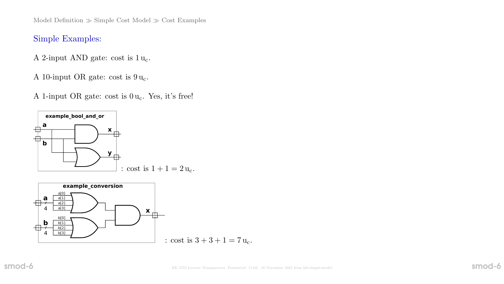Model Definition  $\gg$  Simple Cost Model  $\gg$  Cost Examples

#### Simple Examples:

A 2-input AND gate: cost is  $1 u_c$ .

A 10-input OR gate: cost is  $9 u_c$ .

A 1-input OR gate: cost is  $0 u_c$ . Yes, it's free!



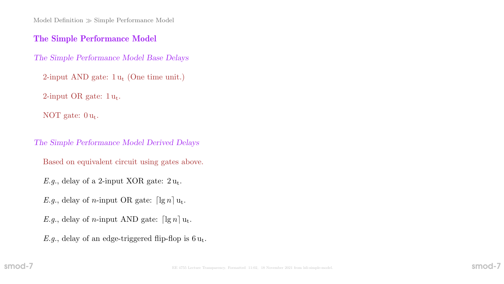$Model$  Definition  $\gg$  Simple Performance Model

#### The Simple Performance Model

The Simple Performance Model Base Delays

 $2$ -input AND gate:  $1u_t$  (One time unit.)

2-input OR gate:  $1u_t$ .

NOT gate:  $0 u_t$ .

The Simple Performance Model Derived Delays

Based on equivalent circuit using gates above.

E.g., delay of a 2-input XOR gate:  $2u_t$ .

E.g., delay of *n*-input OR gate:  $\lceil \lg n \rceil u_t$ .

E.g., delay of n-input AND gate:  $\lceil \lg n \rceil u_t$ .

E.g., delay of an edge-triggered flip-flop is  $6u_t$ .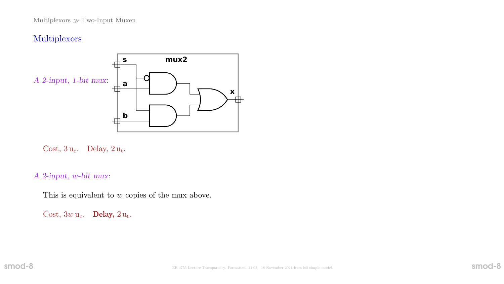# Multiplexors



Cost,  $3 u_c$ . Delay,  $2 u_t$ .

A 2-input, w-bit mux:

This is equivalent to w copies of the mux above.

Cost,  $3w u_c$ . Delay,  $2 u_t$ .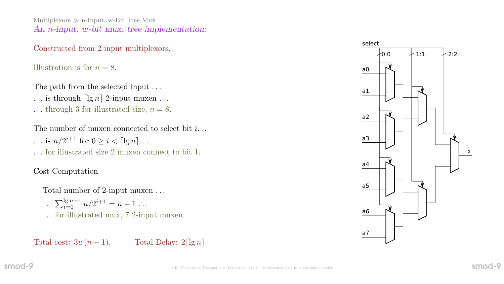Multiplexors  $\gg$  n-Input, w-Bit Tree Mux An *n*-input, *w*-bit mux, tree implementation:

#### Constructed from 2-input multiplexors.

Illustration is for  $n = 8$ .

The path from the selected input ...

- ... is through  $\lceil \lg n \rceil$  2-input muxen ...
- ... through 3 for illustrated size,  $n = 8$ .

The number of muxen connected to select bit  $i...$  $\ldots$  is  $n/2^{i+1}$  for  $0 \geq i < \lceil \lg n \rceil \ldots$ . . . for illustrated size 2 muxen connect to bit 1.

# Cost Computation

Total number of 2-input muxen . . .

 $\ldots \sum_{i=0}^{\lg n-1} n/2^{i+1} = n-1 \ldots$ . . . for illustrated mux, 7 2-input muxen.

Total cost:  $3w(n-1)$ . Total Delay:  $2\lceil \lg n \rceil$ .

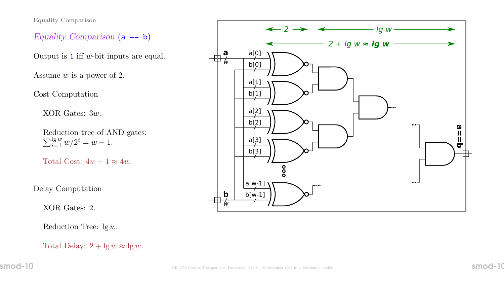Equality Comparison

Equality Comparison  $(a == b)$ 

Output is  $1$  iff w-bit inputs are equal.

Assume w is a power of 2.

Cost Computation

XOR Gates: 3w.

Reduction tree of AND gates:  $\sum_{i=1}^{\lg w} w/2^i = w - 1.$ 

Total Cost:  $4w - 1 \approx 4w$ .

Delay Computation

XOR Gates: 2.

Reduction Tree:  $lg w$ .

Total Delay:  $2 + \lg w \approx \lg w$ .

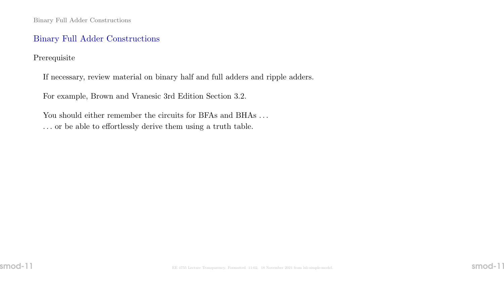### Binary Full Adder Constructions

Prerequisite

If necessary, review material on binary half and full adders and ripple adders.

For example, Brown and Vranesic 3rd Edition Section 3.2.

You should either remember the circuits for BFAs and BHAs ... . . . or be able to effortlessly derive them using a truth table.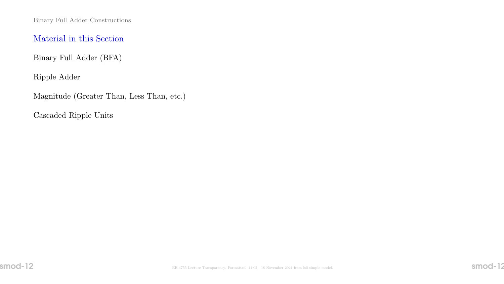Binary Full Adder Constructions

## Material in this Section

Binary Full Adder (BFA)

Ripple Adder

Magnitude (Greater Than, Less Than, etc.)

Cascaded Ripple Units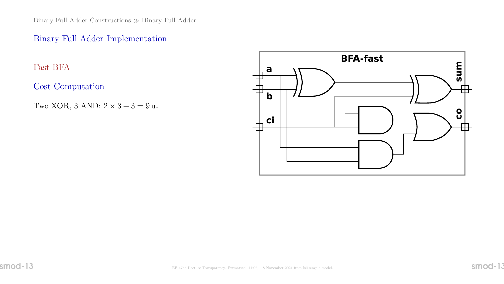Binary Full Adder Constructions  $\gg$  Binary Full Adder

## Binary Full Adder Implementation

Fast BFA

Cost Computation

Two XOR, 3 AND:  $2 \times 3 + 3 = 9$ u<sub>c</sub>

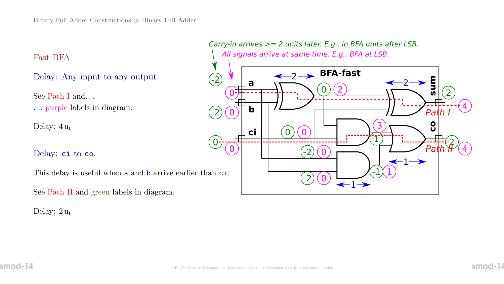Fast BFA

Delay: Any input to any output.

See Path I and. . . . . . purple labels in diagram.

Delay:  $4 u_t$ 

Delay: ci to co.

This delay is useful when **a** and **b** arrive earlier than **ci**.

See Path II and green labels in diagram.

Delay:  $2u_t$ 

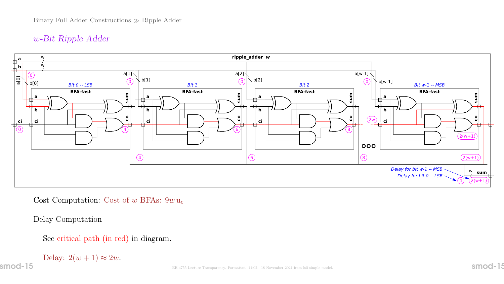# w-Bit Ripple Adder



Cost Computation: Cost of  $w$  BFAs:  $9w$  u<sub>c</sub>

Delay Computation

See critical path (in red) in diagram.

Delay:  $2(w + 1) \approx 2w$ .

 $\mathsf{smod}\text{-}15$  Smod- $\mathsf{l}$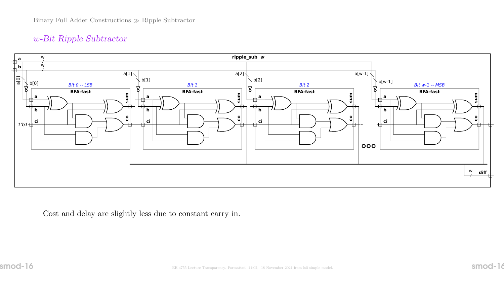# w-Bit Ripple Subtractor



Cost and delay are slightly less due to constant carry in.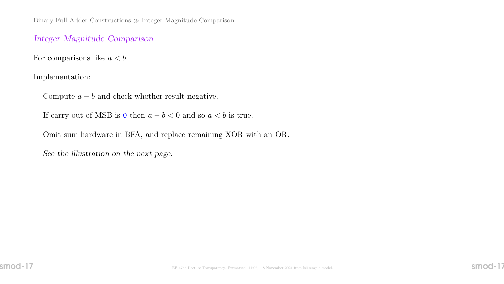Binary Full Adder Constructions Integer Magnitude Comparison

#### Integer Magnitude Comparison

For comparisons like  $a < b$ .

Implementation:

Compute  $a - b$  and check whether result negative.

If carry out of MSB is 0 then  $a - b < 0$  and so  $a < b$  is true.

Omit sum hardware in BFA, and replace remaining XOR with an OR.

See the illustration on the next page.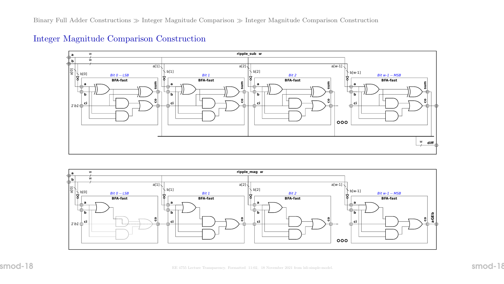

#### Integer Magnitude Comparison Construction

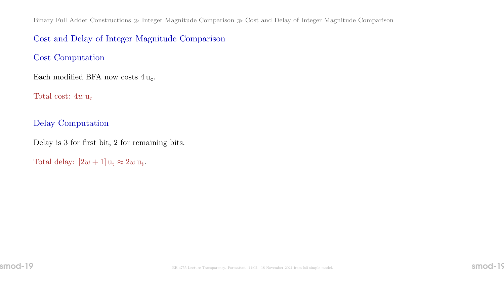Binary Full Adder Constructions  $\gg$  Integer Magnitude Comparison  $\gg$  Cost and Delay of Integer Magnitude Comparison

### Cost and Delay of Integer Magnitude Comparison

Cost Computation

Each modified BFA now costs  $4 u_c$ .

Total cost:  $4w u_c$ 

Delay Computation

Delay is 3 for first bit, 2 for remaining bits.

Total delay:  $[2w + 1]$   $u_t \approx 2w$   $u_t$ .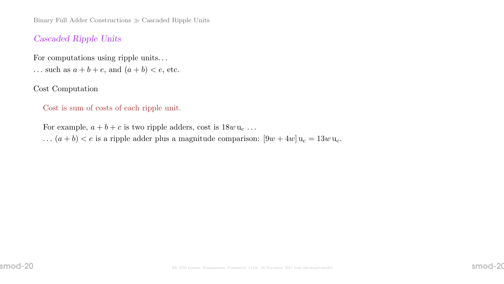Binary Full Adder Constructions  $\gg$  Cascaded Ripple Units

#### Cascaded Ripple Units

For computations using ripple units. . .

... such as  $a + b + e$ , and  $(a + b) < e$ , etc.

Cost Computation

Cost is sum of costs of each ripple unit.

For example,  $a + b + c$  is two ripple adders, cost is  $18w u_c \dots$ ...  $(a + b) < e$  is a ripple adder plus a magnitude comparison:  $[9w + 4w]u_c = 13w u_c$ .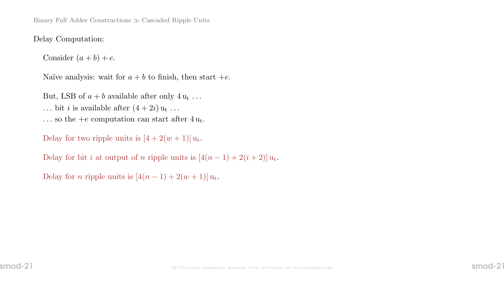Binary Full Adder Constructions  $\gg$  Cascaded Ripple Units

Delay Computation:

Consider  $(a + b) + e$ .

Naïve analysis: wait for  $a + b$  to finish, then start  $+e$ .

But, LSB of  $a + b$  available after only  $4 u_t \dots$ ... bit *i* is available after  $(4 + 2i)$   $u_t$  ... ... so the +e computation can start after  $4 u_t$ .

Delay for two ripple units is  $[4 + 2(w + 1)]u_t$ .

Delay for bit *i* at output of *n* ripple units is  $[4(n-1) + 2(i+2)]u_t$ .

Delay for *n* ripple units is  $[4(n-1) + 2(w+1)]$ u<sub>t</sub>.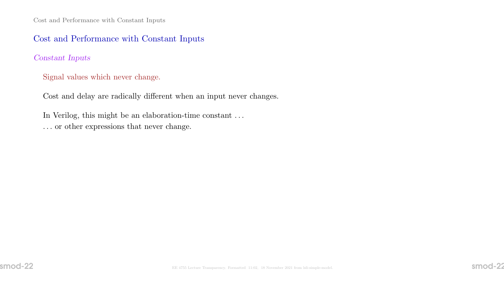# Cost and Performance with Constant Inputs

#### Constant Inputs

Signal values which never change.

Cost and delay are radically different when an input never changes.

In Verilog, this might be an elaboration-time constant . . . . . . or other expressions that never change.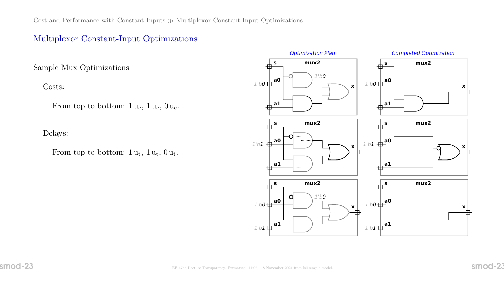# Multiplexor Constant-Input Optimizations

Sample Mux Optimizations

Costs:

From top to bottom:  $1 u_c$ ,  $1 u_c$ ,  $0 u_c$ .

Delays:

From top to bottom:  $1 u_t$ ,  $1 u_t$ ,  $0 u_t$ .